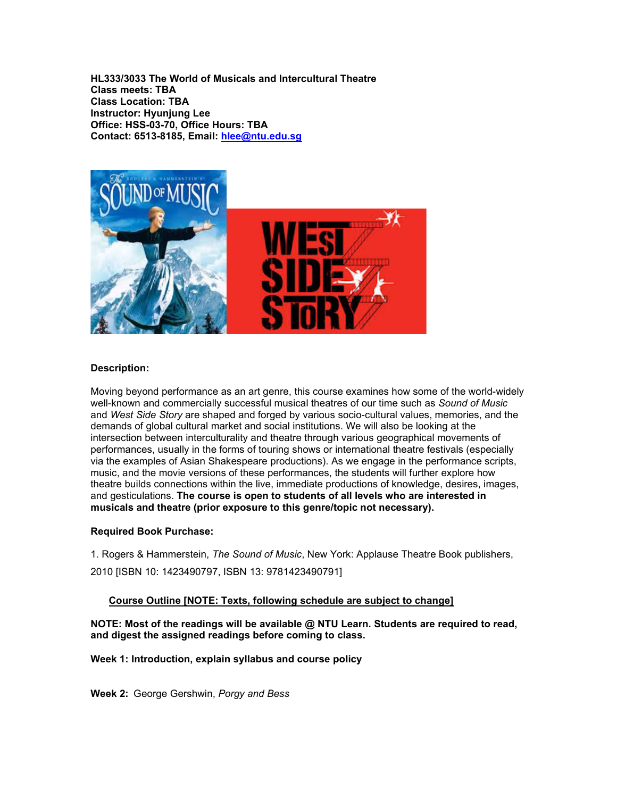**HL333/3033 The World of Musicals and Intercultural Theatre Class meets: TBA Class Location: TBA Instructor: Hyunjung Lee Office: HSS-03-70, Office Hours: TBA Contact: 6513-8185, Email: [hlee@ntu.edu.sg](mailto:hlee@ntu.edu.sg)**



## **Description:**

Moving beyond performance as an art genre, this course examines how some of the world-widely well-known and commercially successful musical theatres of our time such as *Sound of Music* and *West Side Story* are shaped and forged by various socio-cultural values, memories, and the demands of global cultural market and social institutions. We will also be looking at the intersection between interculturality and theatre through various geographical movements of performances, usually in the forms of touring shows or international theatre festivals (especially via the examples of Asian Shakespeare productions). As we engage in the performance scripts, music, and the movie versions of these performances, the students will further explore how theatre builds connections within the live, immediate productions of knowledge, desires, images, and gesticulations. **The course is open to students of all levels who are interested in musicals and theatre (prior exposure to this genre/topic not necessary).**

### **Required Book Purchase:**

1. Rogers & Hammerstein, *The Sound of Music*, New York: Applause Theatre Book publishers, 2010 [ISBN 10: 1423490797, ISBN 13: 9781423490791]

### **Course Outline [NOTE: Texts, following schedule are subject to change]**

**NOTE: Most of the readings will be available @ NTU Learn. Students are required to read, and digest the assigned readings before coming to class.**

**Week 1: Introduction, explain syllabus and course policy**

**Week 2:** George Gershwin, *Porgy and Bess*